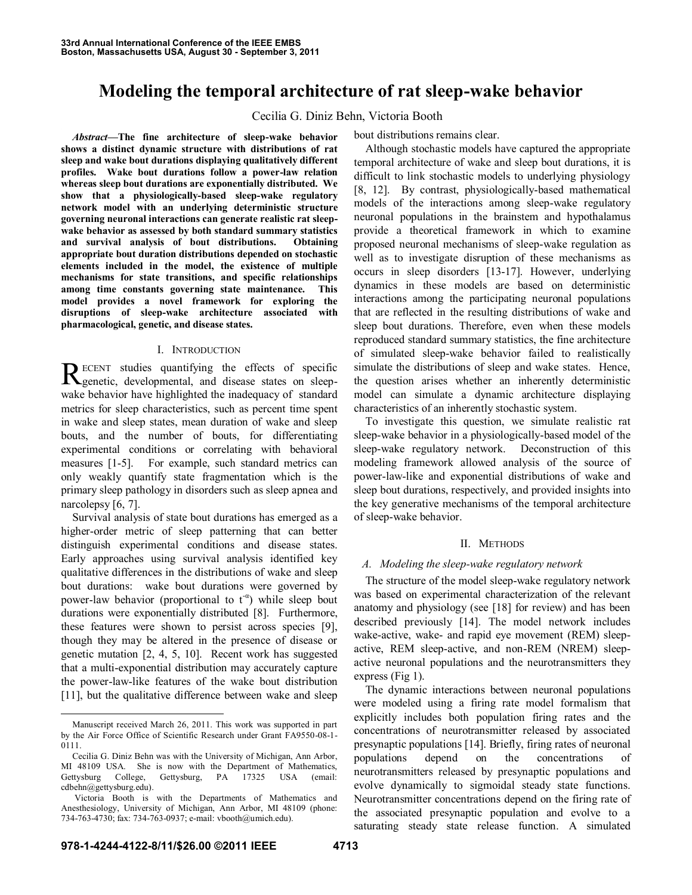# **Modeling the temporal architecture of rat sleep-wake behavior**

# Cecilia G. Diniz Behn, Victoria Booth

*Abstract***—The fine architecture of sleep-wake behavior shows a distinct dynamic structure with distributions of rat sleep and wake bout durations displaying qualitatively different profiles. Wake bout durations follow a power-law relation whereas sleep bout durations are exponentially distributed. We show that a physiologically-based sleep-wake regulatory network model with an underlying deterministic structure governing neuronal interactions can generate realistic rat sleepwake behavior as assessed by both standard summary statistics and survival analysis of bout distributions. Obtaining appropriate bout duration distributions depended on stochastic elements included in the model, the existence of multiple mechanisms for state transitions, and specific relationships among time constants governing state maintenance. This model provides a novel framework for exploring the disruptions of sleep-wake architecture associated with pharmacological, genetic, and disease states.** 

## I. INTRODUCTION

ECENT studies quantifying the effects of specific RECENT studies quantifying the effects of specific genetic, developmental, and disease states on sleepwake behavior have highlighted the inadequacy of standard metrics for sleep characteristics, such as percent time spent in wake and sleep states, mean duration of wake and sleep bouts, and the number of bouts, for differentiating experimental conditions or correlating with behavioral measures [1-5]. For example, such standard metrics can only weakly quantify state fragmentation which is the primary sleep pathology in disorders such as sleep apnea and narcolepsy [6, 7].

Survival analysis of state bout durations has emerged as a higher-order metric of sleep patterning that can better distinguish experimental conditions and disease states. Early approaches using survival analysis identified key qualitative differences in the distributions of wake and sleep bout durations: wake bout durations were governed by power-law behavior (proportional to  $t^{\alpha}$ ) while sleep bout durations were exponentially distributed [8]. Furthermore, these features were shown to persist across species [9], though they may be altered in the presence of disease or genetic mutation [2, 4, 5, 10]. Recent work has suggested that a multi-exponential distribution may accurately capture the power-law-like features of the wake bout distribution [11], but the qualitative difference between wake and sleep

bout distributions remains clear.

Although stochastic models have captured the appropriate temporal architecture of wake and sleep bout durations, it is difficult to link stochastic models to underlying physiology [8, 12]. By contrast, physiologically-based mathematical models of the interactions among sleep-wake regulatory neuronal populations in the brainstem and hypothalamus provide a theoretical framework in which to examine proposed neuronal mechanisms of sleep-wake regulation as well as to investigate disruption of these mechanisms as occurs in sleep disorders [13-17]. However, underlying dynamics in these models are based on deterministic interactions among the participating neuronal populations that are reflected in the resulting distributions of wake and sleep bout durations. Therefore, even when these models reproduced standard summary statistics, the fine architecture of simulated sleep-wake behavior failed to realistically simulate the distributions of sleep and wake states. Hence, the question arises whether an inherently deterministic model can simulate a dynamic architecture displaying characteristics of an inherently stochastic system.

To investigate this question, we simulate realistic rat sleep-wake behavior in a physiologically-based model of the sleep-wake regulatory network. Deconstruction of this modeling framework allowed analysis of the source of power-law-like and exponential distributions of wake and sleep bout durations, respectively, and provided insights into the key generative mechanisms of the temporal architecture of sleep-wake behavior.

## II. METHODS

# *A. Modeling the sleep-wake regulatory network*

The structure of the model sleep-wake regulatory network was based on experimental characterization of the relevant anatomy and physiology (see [18] for review) and has been described previously [14]. The model network includes wake-active, wake- and rapid eye movement (REM) sleepactive, REM sleep-active, and non-REM (NREM) sleepactive neuronal populations and the neurotransmitters they express (Fig 1).

The dynamic interactions between neuronal populations were modeled using a firing rate model formalism that explicitly includes both population firing rates and the concentrations of neurotransmitter released by associated presynaptic populations [14]. Briefly, firing rates of neuronal populations depend on the concentrations of neurotransmitters released by presynaptic populations and evolve dynamically to sigmoidal steady state functions. Neurotransmitter concentrations depend on the firing rate of the associated presynaptic population and evolve to a saturating steady state release function. A simulated

 $\overline{a}$ 

Manuscript received March 26, 2011. This work was supported in part by the Air Force Office of Scientific Research under Grant FA9550-08-1- 0111.

Cecilia G. Diniz Behn was with the University of Michigan, Ann Arbor, MI 48109 USA. She is now with the Department of Mathematics,<br>Gettysburg College, Gettysburg, PA 17325 USA (email: Gettysburg College, Gettysburg, PA 17325 USA (email: cdbehn@gettysburg.edu).

Victoria Booth is with the Departments of Mathematics and Anesthesiology, University of Michigan, Ann Arbor, MI 48109 (phone: 734-763-4730; fax: 734-763-0937; e-mail: vbooth@umich.edu).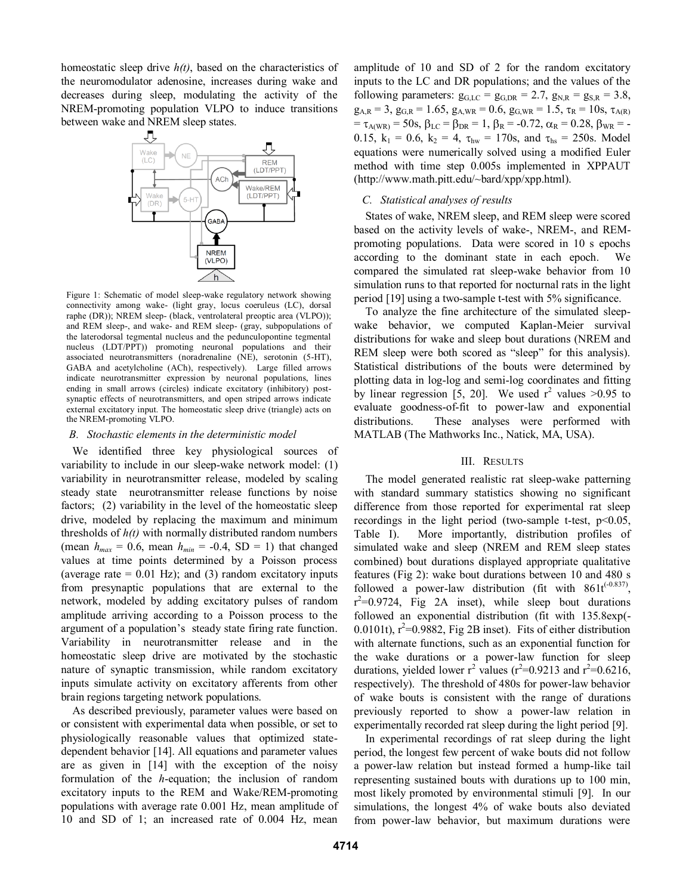homeostatic sleep drive *h(t)*, based on the characteristics of the neuromodulator adenosine, increases during wake and decreases during sleep, modulating the activity of the NREM-promoting population VLPO to induce transitions between wake and NREM sleep states.



Figure 1: Schematic of model sleep-wake regulatory network showing connectivity among wake- (light gray, locus coeruleus (LC), dorsal raphe (DR)); NREM sleep- (black, ventrolateral preoptic area (VLPO)); and REM sleep-, and wake- and REM sleep- (gray, subpopulations of the laterodorsal tegmental nucleus and the pedunculopontine tegmental nucleus (LDT/PPT)) promoting neuronal populations and their associated neurotransmitters (noradrenaline (NE), serotonin (5-HT), GABA and acetylcholine (ACh), respectively). Large filled arrows indicate neurotransmitter expression by neuronal populations, lines ending in small arrows (circles) indicate excitatory (inhibitory) postsynaptic effects of neurotransmitters, and open striped arrows indicate external excitatory input. The homeostatic sleep drive (triangle) acts on the NREM-promoting VLPO.

#### *B. Stochastic elements in the deterministic model*

We identified three key physiological sources of variability to include in our sleep-wake network model: (1) variability in neurotransmitter release, modeled by scaling steady state neurotransmitter release functions by noise factors; (2) variability in the level of the homeostatic sleep drive, modeled by replacing the maximum and minimum thresholds of  $h(t)$  with normally distributed random numbers (mean  $h_{max} = 0.6$ , mean  $h_{min} = -0.4$ , SD = 1) that changed values at time points determined by a Poisson process (average rate  $= 0.01$  Hz); and (3) random excitatory inputs from presynaptic populations that are external to the network, modeled by adding excitatory pulses of random amplitude arriving according to a Poisson process to the argument of a population's steady state firing rate function. Variability in neurotransmitter release and in the homeostatic sleep drive are motivated by the stochastic nature of synaptic transmission, while random excitatory inputs simulate activity on excitatory afferents from other brain regions targeting network populations.

As described previously, parameter values were based on or consistent with experimental data when possible, or set to physiologically reasonable values that optimized statedependent behavior [14]. All equations and parameter values are as given in [14] with the exception of the noisy formulation of the *h*-equation; the inclusion of random excitatory inputs to the REM and Wake/REM-promoting populations with average rate 0.001 Hz, mean amplitude of 10 and SD of 1; an increased rate of 0.004 Hz, mean

amplitude of 10 and SD of 2 for the random excitatory inputs to the LC and DR populations; and the values of the following parameters:  $g_{G, LC} = g_{G, DR} = 2.7$ ,  $g_{N,R} = g_{S,R} = 3.8$ ,  $g_{A,R} = 3$ ,  $g_{G,R} = 1.65$ ,  $g_{A,WR} = 0.6$ ,  $g_{G,WR} = 1.5$ ,  $\tau_R = 10$ s,  $\tau_{A(R)}$  $= \tau_{A(WR)} = 50s, \beta_{LC} = \beta_{DR} = 1, \beta_R = -0.72, \alpha_R = 0.28, \beta_{WR} = -0.72$ 0.15,  $k_1 = 0.6$ ,  $k_2 = 4$ ,  $\tau_{hw} = 170$ s, and  $\tau_{hs} = 250$ s. Model equations were numerically solved using a modified Euler method with time step 0.005s implemented in XPPAUT (http://www.math.pitt.edu/~bard/xpp/xpp.html).

#### *C. Statistical analyses of results*

States of wake, NREM sleep, and REM sleep were scored based on the activity levels of wake-, NREM-, and REMpromoting populations. Data were scored in 10 s epochs according to the dominant state in each epoch. We compared the simulated rat sleep-wake behavior from 10 simulation runs to that reported for nocturnal rats in the light period [19] using a two-sample t-test with 5% significance.

To analyze the fine architecture of the simulated sleepwake behavior, we computed Kaplan-Meier survival distributions for wake and sleep bout durations (NREM and REM sleep were both scored as "sleep" for this analysis). Statistical distributions of the bouts were determined by plotting data in log-log and semi-log coordinates and fitting by linear regression [5, 20]. We used  $r^2$  values >0.95 to evaluate goodness-of-fit to power-law and exponential distributions. These analyses were performed with MATLAB (The Mathworks Inc., Natick, MA, USA).

#### III. RESULTS

The model generated realistic rat sleep-wake patterning with standard summary statistics showing no significant difference from those reported for experimental rat sleep recordings in the light period (two-sample t-test,  $p<0.05$ , Table I). More importantly, distribution profiles of simulated wake and sleep (NREM and REM sleep states combined) bout durations displayed appropriate qualitative features (Fig 2): wake bout durations between 10 and 480 s followed a power-law distribution (fit with  $861t^{(-0.837)}$ ,  $r^2$ =0.9724, Fig 2A inset), while sleep bout durations followed an exponential distribution (fit with 135.8exp(- 0.0101t),  $r^2$ =0.9882, Fig 2B inset). Fits of either distribution with alternate functions, such as an exponential function for the wake durations or a power-law function for sleep durations, yielded lower  $r^2$  values ( $r^2$ =0.9213 and  $r^2$ =0.6216, respectively). The threshold of 480s for power-law behavior of wake bouts is consistent with the range of durations previously reported to show a power-law relation in experimentally recorded rat sleep during the light period [9].

In experimental recordings of rat sleep during the light period, the longest few percent of wake bouts did not follow a power-law relation but instead formed a hump-like tail representing sustained bouts with durations up to 100 min, most likely promoted by environmental stimuli [9]. In our simulations, the longest 4% of wake bouts also deviated from power-law behavior, but maximum durations were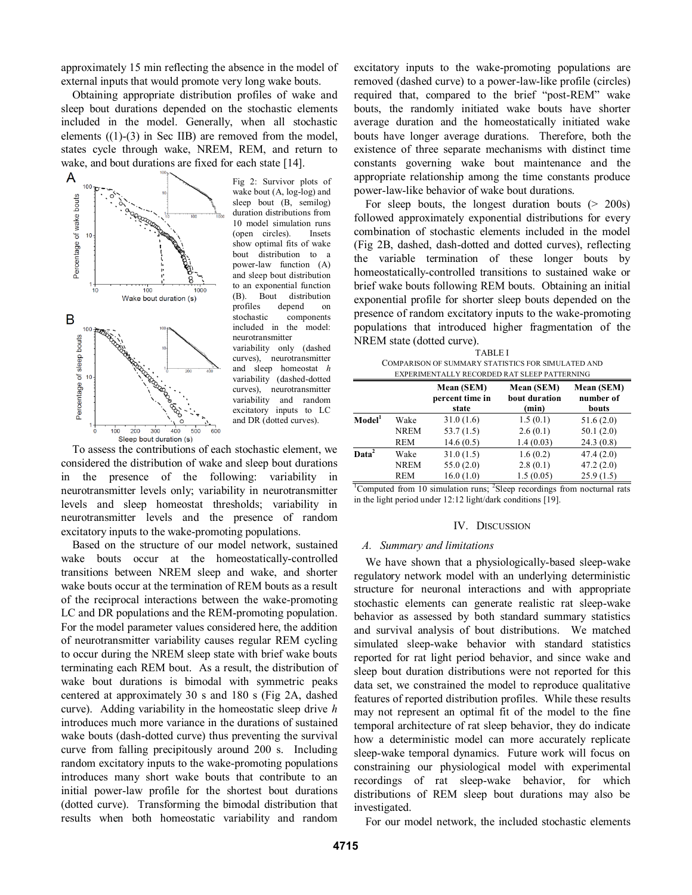approximately 15 min reflecting the absence in the model of external inputs that would promote very long wake bouts.

Obtaining appropriate distribution profiles of wake and sleep bout durations depended on the stochastic elements included in the model. Generally, when all stochastic elements  $((1)-(3)$  in Sec IIB) are removed from the model, states cycle through wake, NREM, REM, and return to wake, and bout durations are fixed for each state [14].



Fig 2: Survivor plots of wake bout (A, log-log) and sleep bout (B, semilog) duration distributions from 10 model simulation runs (open circles). Insets show optimal fits of wake bout distribution to a power-law function (A) and sleep bout distribution to an exponential function (B). Bout distribution profiles depend on stochastic components included in the model: neurotransmitter variability only (dashed curves), neurotransmitter and sleep homeostat *h* variability (dashed-dotted curves), neurotransmitter variability and random excitatory inputs to LC and DR (dotted curves).

To assess the contributions of each stochastic element, we considered the distribution of wake and sleep bout durations in the presence of the following: variability neurotransmitter levels only; variability in neurotransmitter levels and sleep homeostat thresholds; variability in neurotransmitter levels and the presence of random excitatory inputs to the wake-promoting populations.

Based on the structure of our model network, sustained wake bouts occur at the homeostatically-controlled transitions between NREM sleep and wake, and shorter wake bouts occur at the termination of REM bouts as a result of the reciprocal interactions between the wake-promoting LC and DR populations and the REM-promoting population. For the model parameter values considered here, the addition of neurotransmitter variability causes regular REM cycling to occur during the NREM sleep state with brief wake bouts terminating each REM bout. As a result, the distribution of wake bout durations is bimodal with symmetric peaks centered at approximately 30 s and 180 s (Fig 2A, dashed curve). Adding variability in the homeostatic sleep drive *h* introduces much more variance in the durations of sustained wake bouts (dash-dotted curve) thus preventing the survival curve from falling precipitously around 200 s. Including random excitatory inputs to the wake-promoting populations introduces many short wake bouts that contribute to an initial power-law profile for the shortest bout durations (dotted curve). Transforming the bimodal distribution that results when both homeostatic variability and random

excitatory inputs to the wake-promoting populations are removed (dashed curve) to a power-law-like profile (circles) required that, compared to the brief "post-REM" wake bouts, the randomly initiated wake bouts have shorter average duration and the homeostatically initiated wake bouts have longer average durations. Therefore, both the existence of three separate mechanisms with distinct time constants governing wake bout maintenance and the appropriate relationship among the time constants produce power-law-like behavior of wake bout durations.

For sleep bouts, the longest duration bouts (> 200s) followed approximately exponential distributions for every combination of stochastic elements included in the model (Fig 2B, dashed, dash-dotted and dotted curves), reflecting the variable termination of these longer bouts by homeostatically-controlled transitions to sustained wake or brief wake bouts following REM bouts. Obtaining an initial exponential profile for shorter sleep bouts depended on the presence of random excitatory inputs to the wake-promoting populations that introduced higher fragmentation of the NREM state (dotted curve).

| <b>TABLEI</b>                                      |
|----------------------------------------------------|
| COMPARISON OF SUMMARY STATISTICS FOR SIMULATED AND |
| EXPERIMENTALLY RECORDED RAT SLEEP PATTERNING       |

|                    |             | Mean (SEM)<br>percent time in<br>state | Mean (SEM)<br>bout duration<br>(min) | Mean (SEM)<br>number of<br>bouts |
|--------------------|-------------|----------------------------------------|--------------------------------------|----------------------------------|
| $\mathbf{Model}^1$ | Wake        | 31.0(1.6)                              | 1.5(0.1)                             | 51.6(2.0)                        |
|                    | <b>NREM</b> | 53.7(1.5)                              | 2.6(0.1)                             | 50.1(2.0)                        |
|                    | <b>REM</b>  | 14.6(0.5)                              | 1.4(0.03)                            | 24.3(0.8)                        |
| $\mathbf{Data}^2$  | Wake        | 31.0(1.5)                              | 1.6(0.2)                             | 47.4(2.0)                        |
|                    | <b>NREM</b> | 55.0(2.0)                              | 2.8(0.1)                             | 47.2(2.0)                        |
|                    | <b>REM</b>  | 16.0(1.0)                              | 1.5(0.05)                            | 25.9(1.5)                        |

<sup>1</sup>Computed from 10 simulation runs; <sup>2</sup>Sleep recordings from nocturnal rats in the light period under 12:12 light/dark conditions [19].

#### IV. DISCUSSION

## *A. Summary and limitations*

We have shown that a physiologically-based sleep-wake regulatory network model with an underlying deterministic structure for neuronal interactions and with appropriate stochastic elements can generate realistic rat sleep-wake behavior as assessed by both standard summary statistics and survival analysis of bout distributions. We matched simulated sleep-wake behavior with standard statistics reported for rat light period behavior, and since wake and sleep bout duration distributions were not reported for this data set, we constrained the model to reproduce qualitative features of reported distribution profiles. While these results may not represent an optimal fit of the model to the fine temporal architecture of rat sleep behavior, they do indicate how a deterministic model can more accurately replicate sleep-wake temporal dynamics. Future work will focus on constraining our physiological model with experimental recordings of rat sleep-wake behavior, for which distributions of REM sleep bout durations may also be investigated.

For our model network, the included stochastic elements